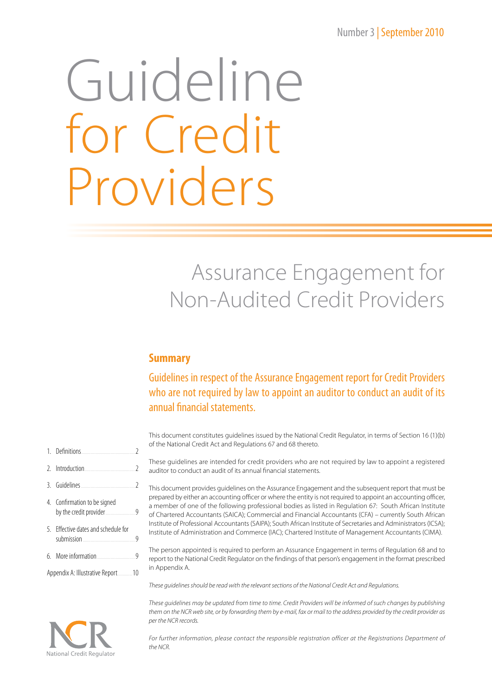### Number 3 | September 2010

# Guideline for Credit Providers

# Assurance Engagement for Non-Audited Credit Providers

## **Summary**

Guidelines in respect of the Assurance Engagement report for Credit Providers who are not required by law to appoint an auditor to conduct an audit of its annual financial statements.

This document constitutes guidelines issued by the National Credit Regulator, in terms of Section 16 (1)(b) of the National Credit Act and Regulations 67 and 68 thereto.

These guidelines are intended for credit providers who are not required by law to appoint a registered auditor to conduct an audit of its annual financial statements.

This document provides guidelines on the Assurance Engagement and the subsequent report that must be prepared by either an accounting officer or where the entity is not required to appoint an accounting officer, a member of one of the following professional bodies as listed in Regulation 67: South African Institute of Chartered Accountants (SAICA); Commercial and Financial Accountants (CFA) – currently South African Institute of Professional Accountants (SAIPA); South African Institute of Secretaries and Administrators (ICSA); Institute of Administration and Commerce (IAC); Chartered Institute of Management Accountants (CIMA).

The person appointed is required to perform an Assurance Engagement in terms of Regulation 68 and to report to the National Credit Regulator on the findings of that person's engagement in the format prescribed in Appendix A.

*These guidelines should be read with the relevant sections of the National Credit Act and Regulations.*

*These guidelines may be updated from time to time. Credit Providers will be informed of such changes by publishing them on the NCR web site, or by forwarding them by e-mail, fax or mail to the address provided by the credit provider as per the NCR records.*

For further information, please contact the responsible registration officer at the Registrations Department of *the NCR.*

- 1. Definitions.........................................................2
- 2. Introduction.
- 3 Guidelines
- 4. Confirmation to be signed by the credit provider...............................9
- 5. Effective dates and schedule for submission.......................................................9
- 6. More information........................................9
- Appendix A: Illustrative Report...............10

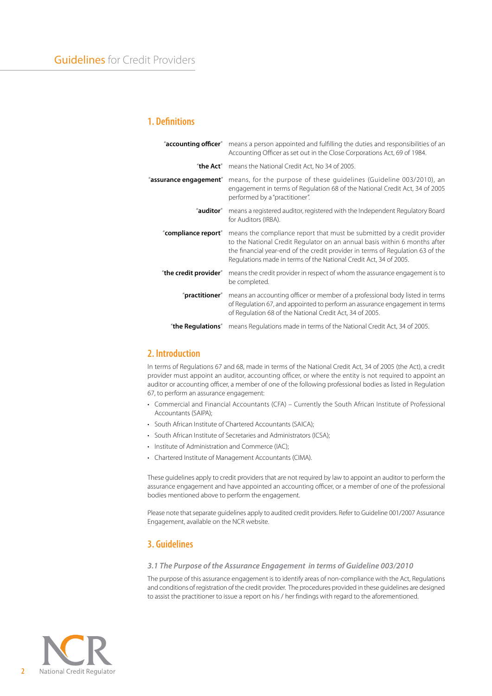#### **1. Definitions**

|                        | "accounting officer" means a person appointed and fulfilling the duties and responsibilities of an<br>Accounting Officer as set out in the Close Corporations Act, 69 of 1984.                                                                                                                              |
|------------------------|-------------------------------------------------------------------------------------------------------------------------------------------------------------------------------------------------------------------------------------------------------------------------------------------------------------|
|                        | "the Act" means the National Credit Act, No 34 of 2005.                                                                                                                                                                                                                                                     |
| "assurance engagement" | means, for the purpose of these quidelines (Guideline 003/2010), an<br>engagement in terms of Regulation 68 of the National Credit Act, 34 of 2005<br>performed by a "practitioner".                                                                                                                        |
| "auditor"              | means a registered auditor, registered with the Independent Regulatory Board<br>for Auditors (IRBA).                                                                                                                                                                                                        |
| "compliance report"    | means the compliance report that must be submitted by a credit provider<br>to the National Credit Regulator on an annual basis within 6 months after<br>the financial year-end of the credit provider in terms of Regulation 63 of the<br>Regulations made in terms of the National Credit Act, 34 of 2005. |
| "the credit provider"  | means the credit provider in respect of whom the assurance engagement is to<br>be completed.                                                                                                                                                                                                                |
| "practitioner"         | means an accounting officer or member of a professional body listed in terms<br>of Regulation 67, and appointed to perform an assurance engagement in terms<br>of Regulation 68 of the National Credit Act, 34 of 2005.                                                                                     |
|                        | "the Regulations" means Regulations made in terms of the National Credit Act, 34 of 2005.                                                                                                                                                                                                                   |

#### **2. Introduction**

In terms of Regulations 67 and 68, made in terms of the National Credit Act, 34 of 2005 (the Act), a credit provider must appoint an auditor, accounting officer, or where the entity is not required to appoint an auditor or accounting officer, a member of one of the following professional bodies as listed in Regulation 67, to perform an assurance engagement:

- • Commercial and Financial Accountants (CFA) Currently the South African Institute of Professional Accountants (SAIPA);
- South African Institute of Chartered Accountants (SAICA);
- South African Institute of Secretaries and Administrators (ICSA);
- Institute of Administration and Commerce (IAC);
- • Chartered Institute of Management Accountants (CIMA).

These guidelines apply to credit providers that are not required by law to appoint an auditor to perform the assurance engagement and have appointed an accounting officer, or a member of one of the professional bodies mentioned above to perform the engagement.

Please note that separate guidelines apply to audited credit providers. Refer to Guideline 001/2007 Assurance Engagement, available on the NCR website.

#### **3. Guidelines**

#### *3.1 The Purpose of the Assurance Engagement in terms of Guideline 003/2010*

The purpose of this assurance engagement is to identify areas of non-compliance with the Act, Regulations and conditions of registration of the credit provider. The procedures provided in these guidelines are designed to assist the practitioner to issue a report on his / her findings with regard to the aforementioned.

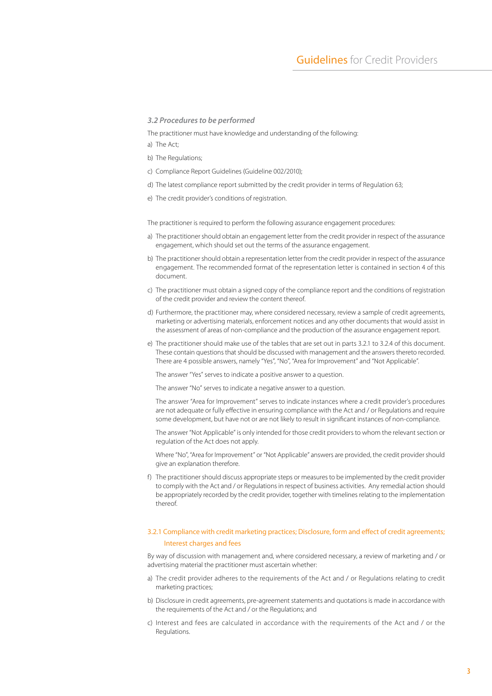#### *3.2 Procedures to be performed*

The practitioner must have knowledge and understanding of the following:

- a) The Act;
- b) The Regulations;
- c) Compliance Report Guidelines (Guideline 002/2010);
- d) The latest compliance report submitted by the credit provider in terms of Regulation 63;
- e) The credit provider's conditions of registration.

The practitioner is required to perform the following assurance engagement procedures:

- a) The practitioner should obtain an engagement letter from the credit provider in respect of the assurance engagement, which should set out the terms of the assurance engagement.
- b) The practitioner should obtain a representation letter from the credit provider in respect of the assurance engagement. The recommended format of the representation letter is contained in section 4 of this document.
- c) The practitioner must obtain a signed copy of the compliance report and the conditions of registration of the credit provider and review the content thereof.
- d) Furthermore, the practitioner may, where considered necessary, review a sample of credit agreements, marketing or advertising materials, enforcement notices and any other documents that would assist in the assessment of areas of non-compliance and the production of the assurance engagement report.
- e) The practitioner should make use of the tables that are set out in parts 3.2.1 to 3.2.4 of this document. These contain questions that should be discussed with management and the answers thereto recorded. There are 4 possible answers, namely "Yes", "No", "Area for Improvement" and "Not Applicable".

The answer "Yes" serves to indicate a positive answer to a question.

The answer "No" serves to indicate a negative answer to a question.

The answer "Area for Improvement" serves to indicate instances where a credit provider's procedures are not adequate or fully effective in ensuring compliance with the Act and / or Regulations and require some development, but have not or are not likely to result in significant instances of non-compliance.

The answer "Not Applicable" is only intended for those credit providers to whom the relevant section or regulation of the Act does not apply.

Where "No", "Area for Improvement" or "Not Applicable" answers are provided, the credit provider should give an explanation therefore.

f) The practitioner should discuss appropriate steps or measures to be implemented by the credit provider to comply with the Act and / or Regulations in respect of business activities. Any remedial action should be appropriately recorded by the credit provider, together with timelines relating to the implementation thereof.

#### 3.2.1 Compliance with credit marketing practices; Disclosure, form and effect of credit agreements; Interest charges and fees

By way of discussion with management and, where considered necessary, a review of marketing and / or advertising material the practitioner must ascertain whether:

- a) The credit provider adheres to the requirements of the Act and / or Regulations relating to credit marketing practices;
- b) Disclosure in credit agreements, pre-agreement statements and quotations is made in accordance with the requirements of the Act and / or the Regulations; and
- c) Interest and fees are calculated in accordance with the requirements of the Act and / or the Regulations.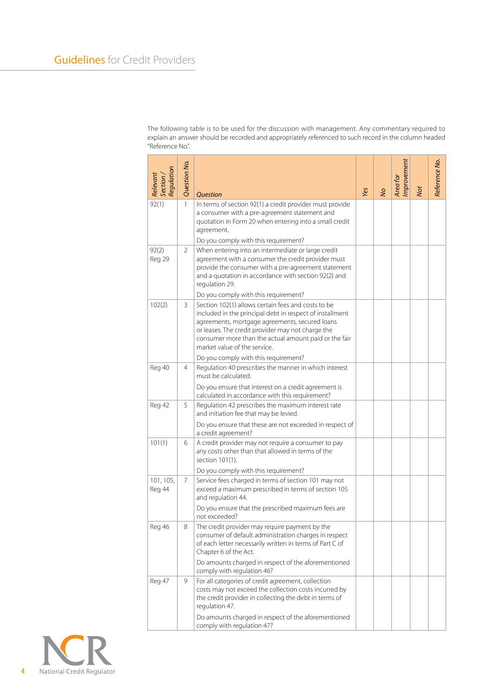| Relevant<br>Section /<br>Regulation | Question No. |                                                                                                                                                                                                                                                                                                                                                        |     |   | Area for<br>Improvement |     | Reference No. |
|-------------------------------------|--------------|--------------------------------------------------------------------------------------------------------------------------------------------------------------------------------------------------------------------------------------------------------------------------------------------------------------------------------------------------------|-----|---|-------------------------|-----|---------------|
|                                     |              | Question                                                                                                                                                                                                                                                                                                                                               | Yes | S |                         | Not |               |
| 92(1)                               | $\mathbf{1}$ | In terms of section 92(1) a credit provider must provide<br>a consumer with a pre-agreement statement and<br>quotation in Form 20 when entering into a small credit<br>agreement.<br>Do you comply with this requirement?                                                                                                                              |     |   |                         |     |               |
| 92(2)<br>Reg 29                     | 2            | When entering into an intermediate or large credit<br>agreement with a consumer the credit provider must<br>provide the consumer with a pre-agreement statement<br>and a quotation in accordance with section 92(2) and<br>regulation 29.<br>Do you comply with this requirement?                                                                      |     |   |                         |     |               |
| 102(2)                              | 3            | Section 102(1) allows certain fees and costs to be<br>included in the principal debt in respect of installment<br>agreements, mortgage agreements, secured loans<br>or leases. The credit provider may not charge the<br>consumer more than the actual amount paid or the fair<br>market value of the service.<br>Do you comply with this requirement? |     |   |                         |     |               |
| Reg 40                              | 4            | Regulation 40 prescribes the manner in which interest<br>must be calculated.<br>Do you ensure that interest on a credit agreement is<br>calculated in accordance with this requirement?                                                                                                                                                                |     |   |                         |     |               |
| Reg 42                              | 5            | Regulation 42 prescribes the maximum interest rate<br>and initiation fee that may be levied.<br>Do you ensure that these are not exceeded in respect of<br>a credit agreement?                                                                                                                                                                         |     |   |                         |     |               |
| 101(1)                              | 6            | A credit provider may not require a consumer to pay<br>any costs other than that allowed in terms of the<br>section 101(1).<br>Do you comply with this requirement?                                                                                                                                                                                    |     |   |                         |     |               |
| 101, 105,<br>Reg 44                 | 7            | Service fees charged in terms of section 101 may not<br>exceed a maximum prescribed in terms of section 105<br>and regulation 44.<br>Do you ensure that the prescribed maximum fees are<br>not exceeded?                                                                                                                                               |     |   |                         |     |               |
| Reg 46                              | 8            | The credit provider may require payment by the<br>consumer of default administration charges in respect<br>of each letter necessarily written in terms of Part C of<br>Chapter 6 of the Act.<br>Do amounts charged in respect of the aforementioned                                                                                                    |     |   |                         |     |               |
| Reg 47                              | 9            | comply with regulation 46?<br>For all categories of credit agreement, collection<br>costs may not exceed the collection costs incurred by<br>the credit provider in collecting the debt in terms of<br>regulation 47.<br>Do amounts charged in respect of the aforementioned<br>comply with regulation 47?                                             |     |   |                         |     |               |

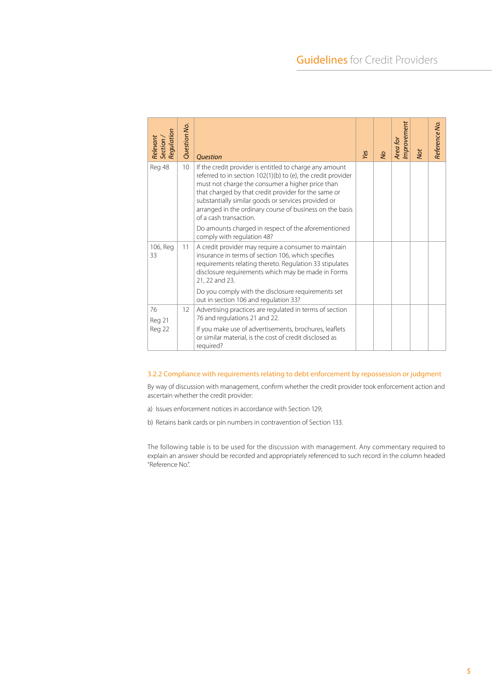| Section /<br>Regulation<br>Relevant | Question No. | <b>Ouestion</b>                                                                                                                                                                                                                                                                                                                                                                  | Yes | $\mathcal{S}$ | Area for<br>Improvement | Not | Reference No. |
|-------------------------------------|--------------|----------------------------------------------------------------------------------------------------------------------------------------------------------------------------------------------------------------------------------------------------------------------------------------------------------------------------------------------------------------------------------|-----|---------------|-------------------------|-----|---------------|
| Reg 48                              | 10           | If the credit provider is entitled to charge any amount<br>referred to in section 102(1)(b) to (e), the credit provider<br>must not charge the consumer a higher price than<br>that charged by that credit provider for the same or<br>substantially similar goods or services provided or<br>arranged in the ordinary course of business on the basis<br>of a cash transaction. |     |               |                         |     |               |
|                                     |              | Do amounts charged in respect of the aforementioned<br>comply with regulation 48?                                                                                                                                                                                                                                                                                                |     |               |                         |     |               |
| 106, Reg<br>33                      | 11           | A credit provider may require a consumer to maintain<br>insurance in terms of section 106, which specifies<br>requirements relating thereto. Regulation 33 stipulates<br>disclosure requirements which may be made in Forms<br>21, 22 and 23.                                                                                                                                    |     |               |                         |     |               |
|                                     |              | Do you comply with the disclosure requirements set<br>out in section 106 and regulation 33?                                                                                                                                                                                                                                                                                      |     |               |                         |     |               |
| 76<br>Reg 21                        | 12           | Advertising practices are regulated in terms of section<br>76 and regulations 21 and 22.                                                                                                                                                                                                                                                                                         |     |               |                         |     |               |
| Reg 22                              |              | If you make use of advertisements, brochures, leaflets<br>or similar material, is the cost of credit disclosed as<br>required?                                                                                                                                                                                                                                                   |     |               |                         |     |               |

#### 3.2.2 Compliance with requirements relating to debt enforcement by repossession or judgment

By way of discussion with management, confirm whether the credit provider took enforcement action and ascertain whether the credit provider:

- a) Issues enforcement notices in accordance with Section 129;
- b) Retains bank cards or pin numbers in contravention of Section 133.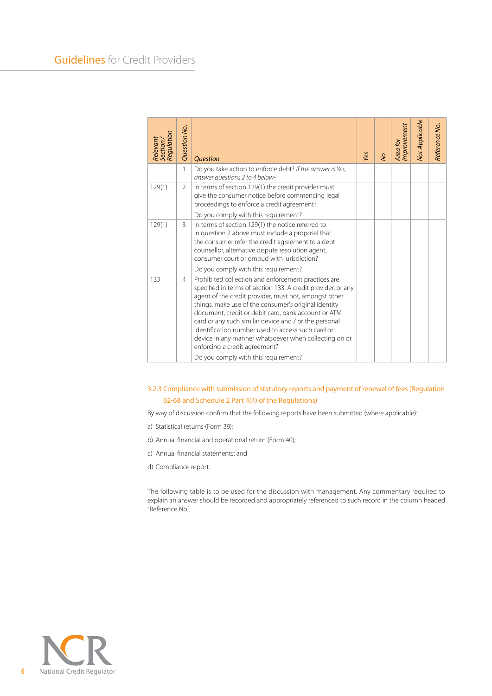| Relevant<br>Section /<br>Regulation | Question No. | <b>Ouestion</b>                                                                                                                                                                                                                                                                                                                                                                                                                                                                                                                             | Yes | $\infty$ | Area for<br>Improvement | Not Applicable | Reference No. |
|-------------------------------------|--------------|---------------------------------------------------------------------------------------------------------------------------------------------------------------------------------------------------------------------------------------------------------------------------------------------------------------------------------------------------------------------------------------------------------------------------------------------------------------------------------------------------------------------------------------------|-----|----------|-------------------------|----------------|---------------|
|                                     | 1            | Do you take action to enforce debt? If the answer is Yes,<br>answer questions 2 to 4 below-                                                                                                                                                                                                                                                                                                                                                                                                                                                 |     |          |                         |                |               |
| 129(1)                              | 2            | In terms of section 129(1) the credit provider must<br>give the consumer notice before commencing legal<br>proceedings to enforce a credit agreement?                                                                                                                                                                                                                                                                                                                                                                                       |     |          |                         |                |               |
|                                     |              | Do you comply with this requirement?                                                                                                                                                                                                                                                                                                                                                                                                                                                                                                        |     |          |                         |                |               |
| 129(1)                              | 3            | In terms of section 129(1) the notice referred to<br>in question 2 above must include a proposal that<br>the consumer refer the credit agreement to a debt<br>counsellor, alternative dispute resolution agent,<br>consumer court or ombud with jurisdiction?                                                                                                                                                                                                                                                                               |     |          |                         |                |               |
|                                     |              | Do you comply with this requirement?                                                                                                                                                                                                                                                                                                                                                                                                                                                                                                        |     |          |                         |                |               |
| 133                                 | 4            | Prohibited collection and enforcement practices are<br>specified in terms of section 133. A credit provider, or any<br>agent of the credit provider, must not, amongst other<br>things, make use of the consumer's original identity<br>document, credit or debit card, bank account or ATM<br>card or any such similar device and / or the personal<br>identification number used to access such card or<br>device in any manner whatsoever when collecting on or<br>enforcing a credit agreement?<br>Do you comply with this requirement? |     |          |                         |                |               |

#### 3.2.3 Compliance with submission of statutory reports and payment of renewal of fees (Regulation 62-68 and Schedule 2 Part 4(4) of the Regulations)

By way of discussion confirm that the following reports have been submitted (where applicable):

- a) Statistical returns (Form 39);
- b) Annual financial and operational return (Form 40);
- c) Annual financial statements; and
- d) Compliance report.

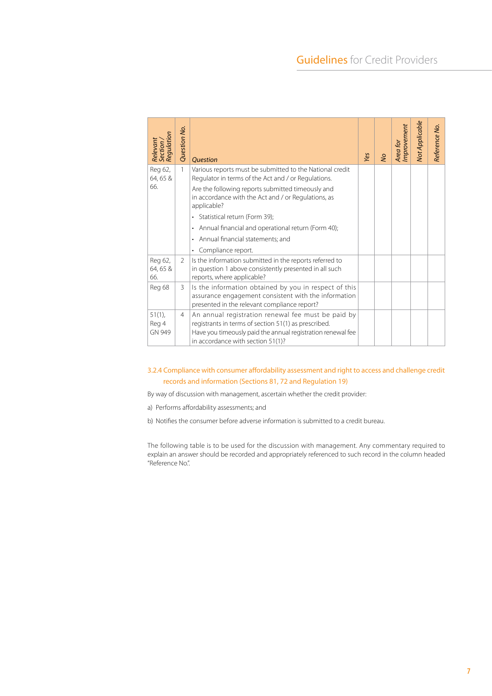| Relevant<br>Section /<br>Regulation | Question No.   | Question                                                                                                                                                                                                                                                                                                                                                                                                   | Yes | S | Area for<br>Improvement | Not Applicable | Reference No. |
|-------------------------------------|----------------|------------------------------------------------------------------------------------------------------------------------------------------------------------------------------------------------------------------------------------------------------------------------------------------------------------------------------------------------------------------------------------------------------------|-----|---|-------------------------|----------------|---------------|
| Reg 62,<br>64, 65 &<br>66.          | 1              | Various reports must be submitted to the National credit<br>Regulator in terms of the Act and / or Regulations.<br>Are the following reports submitted timeously and<br>in accordance with the Act and / or Regulations, as<br>applicable?<br>Statistical return (Form 39);<br>$\bullet$<br>Annual financial and operational return (Form 40);<br>Annual financial statements; and<br>• Compliance report. |     |   |                         |                |               |
| Reg 62,<br>64, 65 &<br>66.          | 2              | Is the information submitted in the reports referred to<br>in question 1 above consistently presented in all such<br>reports, where applicable?                                                                                                                                                                                                                                                            |     |   |                         |                |               |
| Reg 68                              | 3              | Is the information obtained by you in respect of this<br>assurance engagement consistent with the information<br>presented in the relevant compliance report?                                                                                                                                                                                                                                              |     |   |                         |                |               |
| $51(1)$ ,<br>Reg 4<br>GN 949        | $\overline{4}$ | An annual registration renewal fee must be paid by<br>registrants in terms of section 51(1) as prescribed.<br>Have you timeously paid the annual registration renewal fee<br>in accordance with section 51(1)?                                                                                                                                                                                             |     |   |                         |                |               |

#### 3.2.4 Compliance with consumer affordability assessment and right to access and challenge credit records and information (Sections 81, 72 and Regulation 19)

By way of discussion with management, ascertain whether the credit provider:

- a) Performs affordability assessments; and
- b) Notifies the consumer before adverse information is submitted to a credit bureau.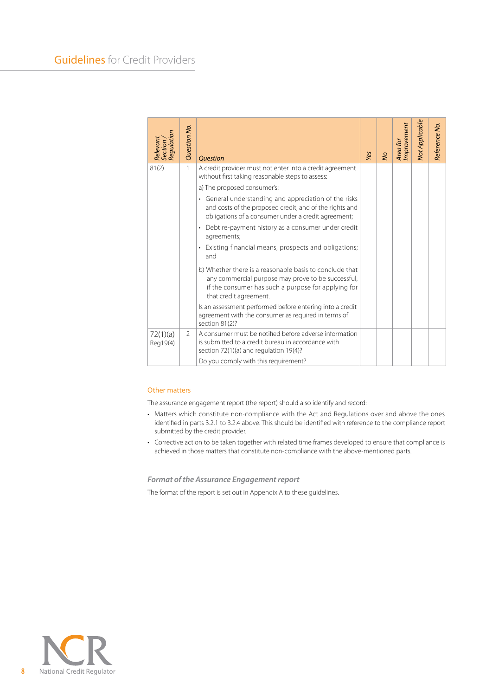| Section /<br>Regulation<br>Relevani | Question No.   | <b>Ouestion</b>                                                                                                                                                                                                                                                                                                                                                                                                                                                                                                                                                                                                                                                                                                                                                                                                             | Yes | $\infty$ | Area for<br>Improvement | Not Applicable | Reference No. |
|-------------------------------------|----------------|-----------------------------------------------------------------------------------------------------------------------------------------------------------------------------------------------------------------------------------------------------------------------------------------------------------------------------------------------------------------------------------------------------------------------------------------------------------------------------------------------------------------------------------------------------------------------------------------------------------------------------------------------------------------------------------------------------------------------------------------------------------------------------------------------------------------------------|-----|----------|-------------------------|----------------|---------------|
| 81(2)                               | $\mathbf{1}$   | A credit provider must not enter into a credit agreement<br>without first taking reasonable steps to assess:<br>a) The proposed consumer's:<br>• General understanding and appreciation of the risks<br>and costs of the proposed credit, and of the rights and<br>obligations of a consumer under a credit agreement;<br>Debt re-payment history as a consumer under credit<br>$\bullet$<br>agreements;<br>Existing financial means, prospects and obligations;<br>$\bullet$<br>and<br>b) Whether there is a reasonable basis to conclude that<br>any commercial purpose may prove to be successful,<br>if the consumer has such a purpose for applying for<br>that credit agreement.<br>Is an assessment performed before entering into a credit<br>agreement with the consumer as required in terms of<br>section 81(2)? |     |          |                         |                |               |
| 72(1)(a)<br>Reg19(4)                | $\overline{2}$ | A consumer must be notified before adverse information<br>is submitted to a credit bureau in accordance with<br>section 72(1)(a) and regulation 19(4)?<br>Do you comply with this requirement?                                                                                                                                                                                                                                                                                                                                                                                                                                                                                                                                                                                                                              |     |          |                         |                |               |

#### Other matters

The assurance engagement report (the report) should also identify and record:

- Matters which constitute non-compliance with the Act and Regulations over and above the ones identified in parts 3.2.1 to 3.2.4 above. This should be identified with reference to the compliance report submitted by the credit provider.
- Corrective action to be taken together with related time frames developed to ensure that compliance is achieved in those matters that constitute non-compliance with the above-mentioned parts.

#### *Format of the Assurance Engagement report*

The format of the report is set out in Appendix A to these guidelines.

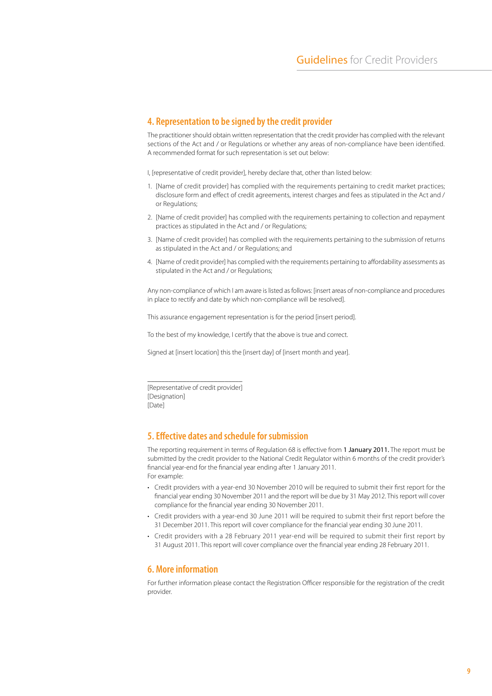#### **4. Representation to be signed by the credit provider**

The practitioner should obtain written representation that the credit provider has complied with the relevant sections of the Act and / or Regulations or whether any areas of non-compliance have been identified. A recommended format for such representation is set out below:

I, [representative of credit provider], hereby declare that, other than listed below:

- 1. [Name of credit provider] has complied with the requirements pertaining to credit market practices; disclosure form and effect of credit agreements, interest charges and fees as stipulated in the Act and / or Regulations;
- 2. [Name of credit provider] has complied with the requirements pertaining to collection and repayment practices as stipulated in the Act and / or Regulations;
- 3. [Name of credit provider] has complied with the requirements pertaining to the submission of returns as stipulated in the Act and / or Regulations; and
- 4. [Name of credit provider] has complied with the requirements pertaining to affordability assessments as stipulated in the Act and / or Regulations;

Any non-compliance of which I am aware is listed as follows: [insert areas of non-compliance and procedures in place to rectify and date by which non-compliance will be resolved].

This assurance engagement representation is for the period [insert period].

To the best of my knowledge, I certify that the above is true and correct.

Signed at [insert location] this the [insert day] of [insert month and year].

[Representative of credit provider] [Designation] [Date]

\_\_\_\_\_\_\_\_\_\_\_\_\_\_\_\_\_\_\_\_\_\_\_\_\_\_\_

#### **5. Effective dates and schedule for submission**

The reporting requirement in terms of Regulation 68 is effective from 1 January 2011. The report must be submitted by the credit provider to the National Credit Regulator within 6 months of the credit provider's financial year-end for the financial year ending after 1 January 2011. For example:

- • Credit providers with a year-end 30 November 2010 will be required to submit their first report for the financial year ending 30 November 2011 and the report will be due by 31 May 2012. This report will cover compliance for the financial year ending 30 November 2011.
- • Credit providers with a year-end 30 June 2011 will be required to submit their first report before the 31 December 2011. This report will cover compliance for the financial year ending 30 June 2011.
- • Credit providers with a 28 February 2011 year-end will be required to submit their first report by 31 August 2011. This report will cover compliance over the financial year ending 28 February 2011.

#### **6. More information**

For further information please contact the Registration Officer responsible for the registration of the credit provider.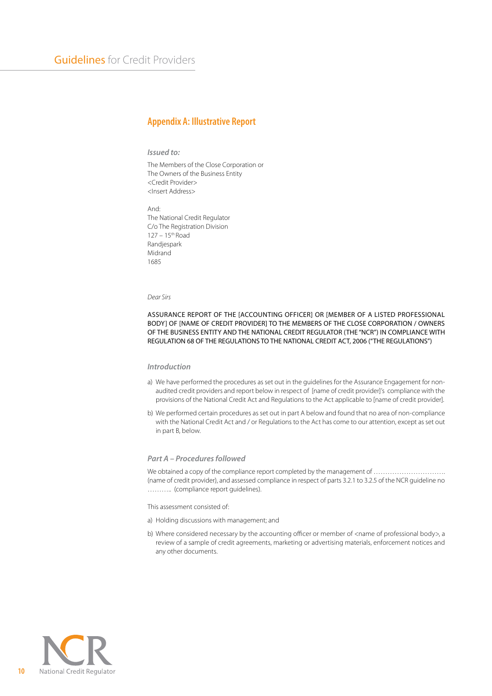#### **Appendix A: Illustrative Report**

*Issued to:*

The Members of the Close Corporation or The Owners of the Business Entity <Credit Provider> <Insert Address>

And: The National Credit Regulator C/o The Registration Division 127 – 15th Road Randjespark Midrand 1685

#### *Dear Sirs*

#### ASSURANCE REPORT OF THE [ACCOUNTING OFFICER] OR [MEMBER OF A LISTED PROFESSIONAL BODY] OF [NAME OF CREDIT PROVIDER] TO THE MEMBERS OF THE CLOSE CORPORATION / OWNERS OF THE BUSINESS ENTITY AND THE NATIONAL CREDIT REGULATOR (THE "NCR") IN COMPLIANCE WITH REGULATION 68 OF THE REGULATIONS TO THE NATIONAL CREDIT ACT, 2006 ("THE REGULATIONS")

#### *Introduction*

- a) We have performed the procedures as set out in the guidelines for the Assurance Engagement for nonaudited credit providers and report below in respect of [name of credit provider]'s compliance with the provisions of the National Credit Act and Regulations to the Act applicable to [name of credit provider].
- b) We performed certain procedures as set out in part A below and found that no area of non-compliance with the National Credit Act and / or Regulations to the Act has come to our attention, except as set out in part B, below.

#### *Part A – Procedures followed*

We obtained a copy of the compliance report completed by the management of .................................. (name of credit provider), and assessed compliance in respect of parts 3.2.1 to 3.2.5 of the NCR guideline no ……….. (compliance report guidelines).

#### This assessment consisted of:

- a) Holding discussions with management; and
- b) Where considered necessary by the accounting officer or member of <name of professional body>, a review of a sample of credit agreements, marketing or advertising materials, enforcement notices and any other documents.

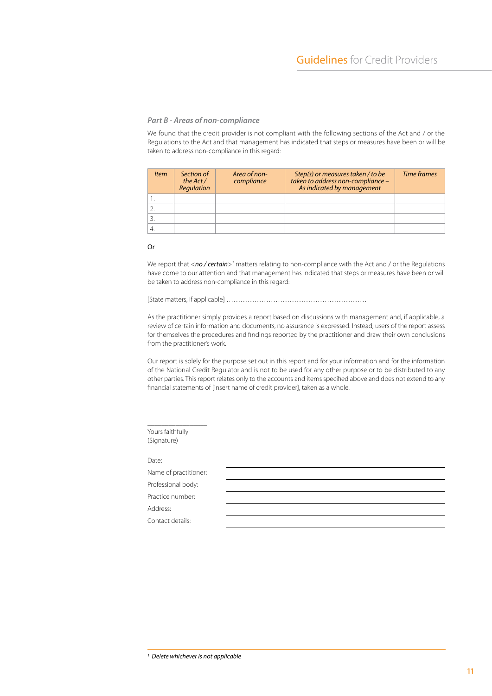#### *Part B - Areas of non-compliance*

We found that the credit provider is not compliant with the following sections of the Act and / or the Regulations to the Act and that management has indicated that steps or measures have been or will be taken to address non-compliance in this regard:

| <i>Item</i> | Section of<br>the Act $/$<br>Regulation | Area of non-<br>compliance | Step(s) or measures taken / to be<br>taken to address non-compliance -<br>As indicated by management | Time frames |
|-------------|-----------------------------------------|----------------------------|------------------------------------------------------------------------------------------------------|-------------|
|             |                                         |                            |                                                                                                      |             |
|             |                                         |                            |                                                                                                      |             |
|             |                                         |                            |                                                                                                      |             |
|             |                                         |                            |                                                                                                      |             |

#### Or

We report that <no/certain><sup>1</sup> matters relating to non-compliance with the Act and / or the Regulations have come to our attention and that management has indicated that steps or measures have been or will be taken to address non-compliance in this regard:

[State matters, if applicable] ……………………………………………………

As the practitioner simply provides a report based on discussions with management and, if applicable, a review of certain information and documents, no assurance is expressed. Instead, users of the report assess for themselves the procedures and findings reported by the practitioner and draw their own conclusions from the practitioner's work.

Our report is solely for the purpose set out in this report and for your information and for the information of the National Credit Regulator and is not to be used for any other purpose or to be distributed to any other parties. This report relates only to the accounts and items specified above and does not extend to any financial statements of [insert name of credit provider], taken as a whole.

Yours faithfully (Signature)

 $\overline{\phantom{a}}$  , where the contract of the contract of the contract of the contract of the contract of the contract of the contract of the contract of the contract of the contract of the contract of the contract of the contr

Date:

Name of practitioner: Professional body: Practice number: Address: Contact details: